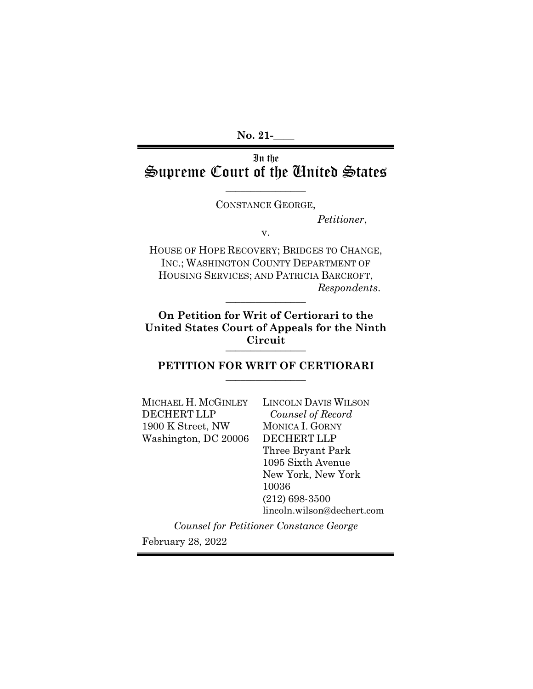**No. 21-\_\_\_\_** 

# In the Supreme Court of the United States

 $\overline{\phantom{a}}$  , where  $\overline{\phantom{a}}$  , where  $\overline{\phantom{a}}$ CONSTANCE GEORGE,

*Petitioner*,

v.

HOUSE OF HOPE RECOVERY; BRIDGES TO CHANGE, INC.; WASHINGTON COUNTY DEPARTMENT OF HOUSING SERVICES; AND PATRICIA BARCROFT, *Respondents*. \_\_\_\_\_\_\_\_\_\_\_\_\_\_\_\_

**On Petition for Writ of Certiorari to the United States Court of Appeals for the Ninth Circuit** \_\_\_\_\_\_\_\_\_\_\_\_\_\_\_\_

PETITION FOR WRIT OF CERTIORARI

MICHAEL H. MCGINLEY DECHERT LLP 1900 K Street, NW Washington, DC 20006 LINCOLN DAVIS WILSON *Counsel of Record* MONICA I. GORNY DECHERT LLP Three Bryant Park 1095 Sixth Avenue New York, New York 10036 (212) 698-3500 lincoln.wilson@dechert.com

*Counsel for Petitioner Constance George* February 28, 2022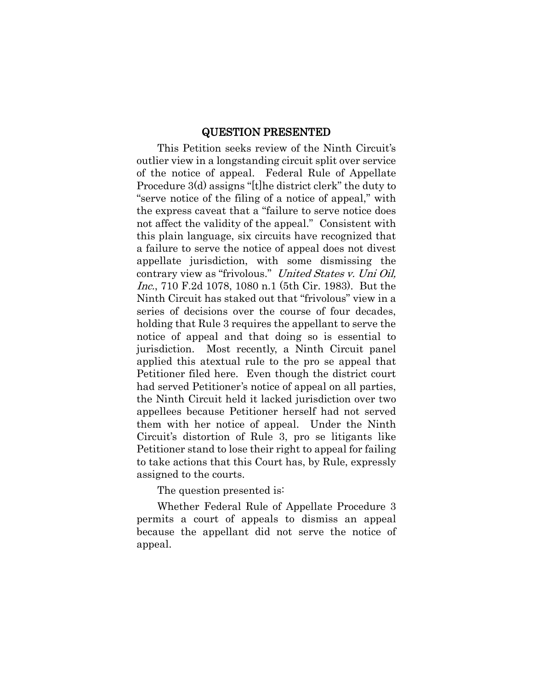#### QUESTION PRESENTED

This Petition seeks review of the Ninth Circuit's outlier view in a longstanding circuit split over service of the notice of appeal. Federal Rule of Appellate Procedure 3(d) assigns "[t]he district clerk" the duty to "serve notice of the filing of a notice of appeal," with the express caveat that a "failure to serve notice does not affect the validity of the appeal." Consistent with this plain language, six circuits have recognized that a failure to serve the notice of appeal does not divest appellate jurisdiction, with some dismissing the contrary view as "frivolous." United States v. Uni Oil, Inc., 710 F.2d 1078, 1080 n.1 (5th Cir. 1983). But the Ninth Circuit has staked out that "frivolous" view in a series of decisions over the course of four decades, holding that Rule 3 requires the appellant to serve the notice of appeal and that doing so is essential to jurisdiction. Most recently, a Ninth Circuit panel applied this atextual rule to the pro se appeal that Petitioner filed here. Even though the district court had served Petitioner's notice of appeal on all parties, the Ninth Circuit held it lacked jurisdiction over two appellees because Petitioner herself had not served them with her notice of appeal. Under the Ninth Circuit's distortion of Rule 3, pro se litigants like Petitioner stand to lose their right to appeal for failing to take actions that this Court has, by Rule, expressly assigned to the courts.

The question presented is:

Whether Federal Rule of Appellate Procedure 3 permits a court of appeals to dismiss an appeal because the appellant did not serve the notice of appeal.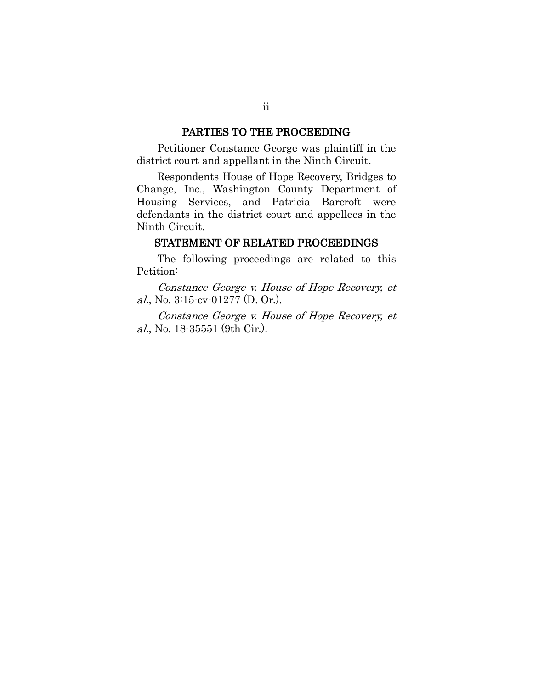#### PARTIES TO THE PROCEEDING

Petitioner Constance George was plaintiff in the district court and appellant in the Ninth Circuit.

Respondents House of Hope Recovery, Bridges to Change, Inc., Washington County Department of Housing Services, and Patricia Barcroft were defendants in the district court and appellees in the Ninth Circuit.

#### STATEMENT OF RELATED PROCEEDINGS

The following proceedings are related to this Petition:

Constance George v. House of Hope Recovery, et al., No. 3:15-cv-01277 (D. Or.).

Constance George v. House of Hope Recovery, et al., No. 18-35551 (9th Cir.).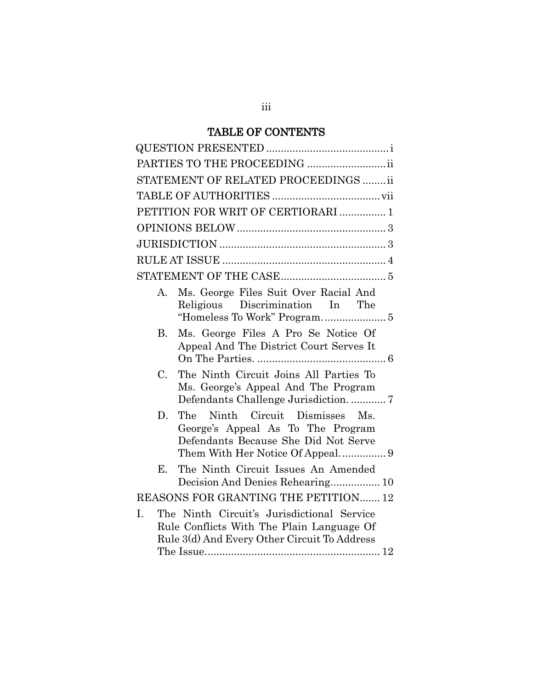# TABLE OF CONTENTS

| PARTIES TO THE PROCEEDING ii                                                                                                                            |
|---------------------------------------------------------------------------------------------------------------------------------------------------------|
| STATEMENT OF RELATED PROCEEDINGS  ii                                                                                                                    |
|                                                                                                                                                         |
| PETITION FOR WRIT OF CERTIORARI  1                                                                                                                      |
|                                                                                                                                                         |
|                                                                                                                                                         |
|                                                                                                                                                         |
|                                                                                                                                                         |
| Ms. George Files Suit Over Racial And<br>А.<br>Religious Discrimination In The<br>"Homeless To Work" Program 5                                          |
| Ms. George Files A Pro Se Notice Of<br>В.<br>Appeal And The District Court Serves It                                                                    |
| The Ninth Circuit Joins All Parties To<br>$C_{\cdot}$<br>Ms. George's Appeal And The Program<br>Defendants Challenge Jurisdiction.  7                   |
| Ninth Circuit Dismisses Ms.<br>The<br>D.<br>George's Appeal As To The Program<br>Defendants Because She Did Not Serve                                   |
| The Ninth Circuit Issues An Amended<br>E.<br>Decision And Denies Rehearing 10                                                                           |
| REASONS FOR GRANTING THE PETITION 12                                                                                                                    |
| The Ninth Circuit's Jurisdictional Service<br>$\mathbf{L}$<br>Rule Conflicts With The Plain Language Of<br>Rule 3(d) And Every Other Circuit To Address |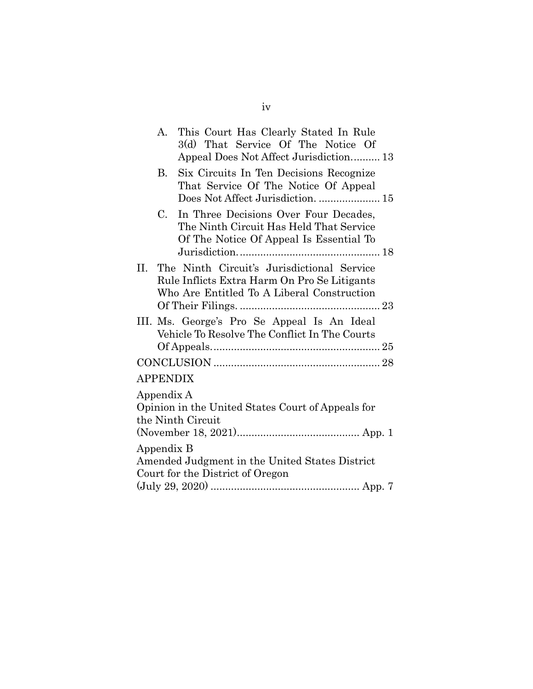| А. | This Court Has Clearly Stated In Rule<br>3(d) That Service Of The Notice Of<br>Appeal Does Not Affect Jurisdiction 13                    |
|----|------------------------------------------------------------------------------------------------------------------------------------------|
| В. | Six Circuits In Ten Decisions Recognize<br>That Service Of The Notice Of Appeal<br>Does Not Affect Jurisdiction.  15                     |
| C. | In Three Decisions Over Four Decades,<br>The Ninth Circuit Has Held That Service<br>Of The Notice Of Appeal Is Essential To              |
|    | The Ninth Circuit's Jurisdictional Service<br>Rule Inflicts Extra Harm On Pro Se Litigants<br>Who Are Entitled To A Liberal Construction |
|    | III. Ms. George's Pro Se Appeal Is An Ideal<br>Vehicle To Resolve The Conflict In The Courts                                             |
|    |                                                                                                                                          |
|    |                                                                                                                                          |
|    | Opinion in the United States Court of Appeals for<br>the Ninth Circuit                                                                   |
|    | Amended Judgment in the United States District<br>Court for the District of Oregon                                                       |
|    | APPENDIX<br>Appendix A<br>Appendix B                                                                                                     |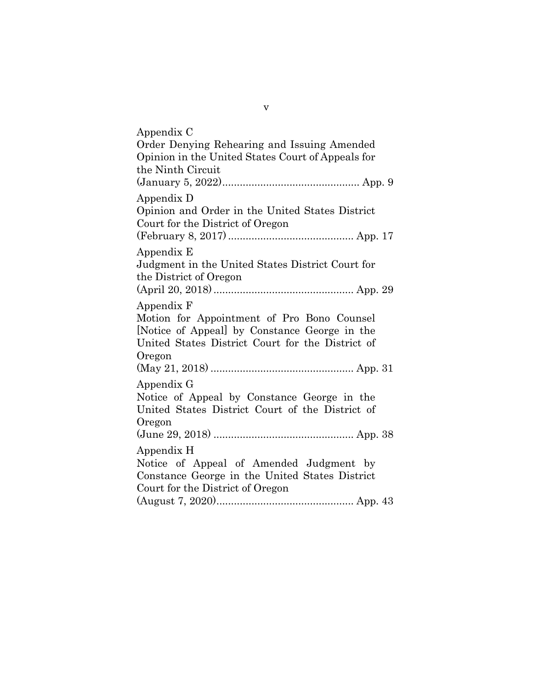| Appendix C                                                                                                                                                              |
|-------------------------------------------------------------------------------------------------------------------------------------------------------------------------|
| Order Denying Rehearing and Issuing Amended<br>Opinion in the United States Court of Appeals for                                                                        |
| the Ninth Circuit                                                                                                                                                       |
|                                                                                                                                                                         |
| Appendix D<br>Opinion and Order in the United States District<br>Court for the District of Oregon                                                                       |
| Appendix E<br>Judgment in the United States District Court for<br>the District of Oregon                                                                                |
| Appendix F<br>Motion for Appointment of Pro Bono Counsel<br>[Notice of Appeal] by Constance George in the<br>United States District Court for the District of<br>Oregon |
|                                                                                                                                                                         |
| Appendix G<br>Notice of Appeal by Constance George in the<br>United States District Court of the District of<br>Oregon                                                  |
| Appendix H<br>Notice of Appeal of Amended Judgment by<br>Constance George in the United States District<br>Court for the District of Oregon                             |
|                                                                                                                                                                         |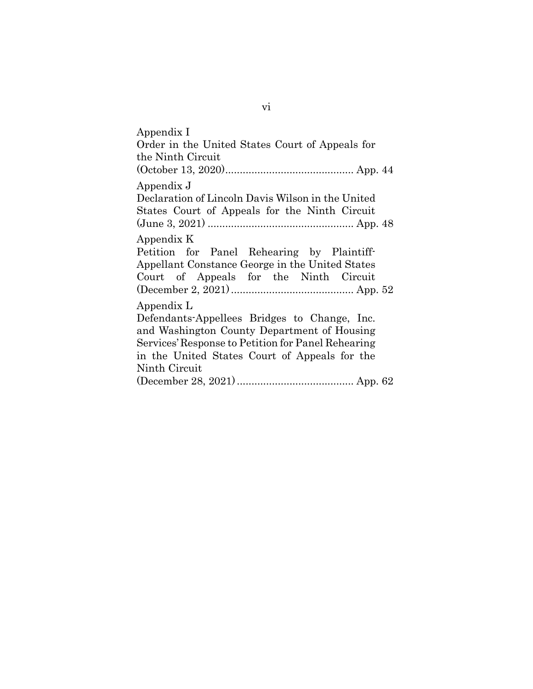Appendix I Order in the United States Court of Appeals for the Ninth Circuit (October 13, 2020)............................................ App. 44 Appendix J Declaration of Lincoln Davis Wilson in the United States Court of Appeals for the Ninth Circuit (June 3, 2021) .................................................. App. 48 Appendix K Petition for Panel Rehearing by Plaintiff-Appellant Constance George in the United States Court of Appeals for the Ninth Circuit (December 2, 2021).......................................... App. 52 Appendix L Defendants-Appellees Bridges to Change, Inc. and Washington County Department of Housing Services' Response to Petition for Panel Rehearing in the United States Court of Appeals for the Ninth Circuit (December 28, 2021)........................................ App. 62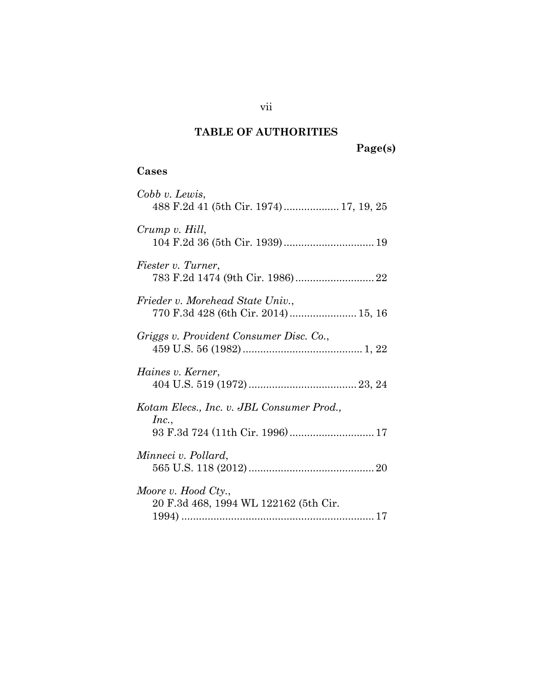# **TABLE OF AUTHORITIES**

# **Cases**

| Cobb v. Lewis,                            |
|-------------------------------------------|
| 488 F.2d 41 (5th Cir. 1974) 17, 19, 25    |
|                                           |
| Crump v. Hill,                            |
|                                           |
| Fiester v. Turner,                        |
|                                           |
| Frieder v. Morehead State Univ.,          |
|                                           |
|                                           |
| Griggs v. Provident Consumer Disc. Co.,   |
|                                           |
| Haines v. Kerner,                         |
|                                           |
|                                           |
| Kotam Elecs., Inc. v. JBL Consumer Prod., |
| Inc.,                                     |
| 93 F.3d 724 (11th Cir. 1996) 17           |
| Minneci v. Pollard,                       |
|                                           |
|                                           |
| Moore v. Hood Cty.,                       |
| 20 F.3d 468, 1994 WL 122162 (5th Cir.     |
|                                           |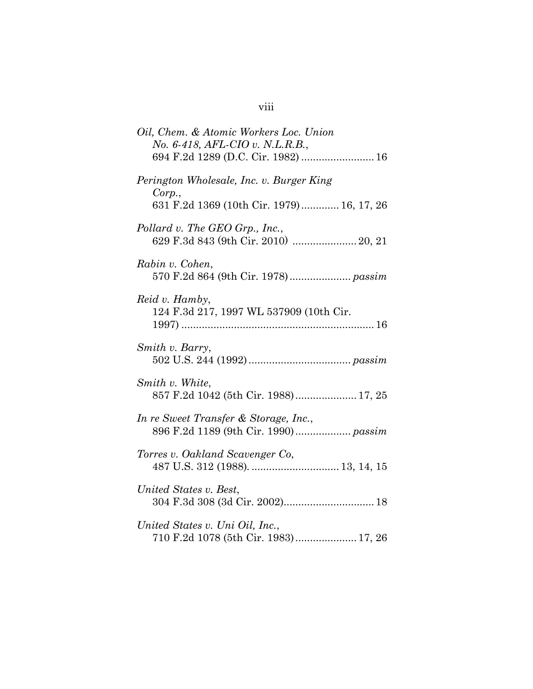# viii

| Oil, Chem. & Atomic Workers Loc. Union<br>No. 6-418, AFL-CIO v. N.L.R.B.,                      |
|------------------------------------------------------------------------------------------------|
| Perington Wholesale, Inc. v. Burger King<br>Corp.<br>631 F.2d 1369 (10th Cir. 1979) 16, 17, 26 |
| Pollard v. The GEO Grp., Inc.,                                                                 |
| Rabin v. Cohen,<br>570 F.2d 864 (9th Cir. 1978) passim                                         |
| Reid v. Hamby,<br>124 F.3d 217, 1997 WL 537909 (10th Cir.                                      |
| Smith v. Barry,                                                                                |
| Smith v. White,<br>857 F.2d 1042 (5th Cir. 1988) 17, 25                                        |
| In re Sweet Transfer & Storage, Inc.,<br>896 F.2d 1189 (9th Cir. 1990) passim                  |
| Torres v. Oakland Scavenger Co,                                                                |
| United States v. Best,                                                                         |
| United States v. Uni Oil, Inc.,<br>710 F.2d 1078 (5th Cir. 1983) 17, 26                        |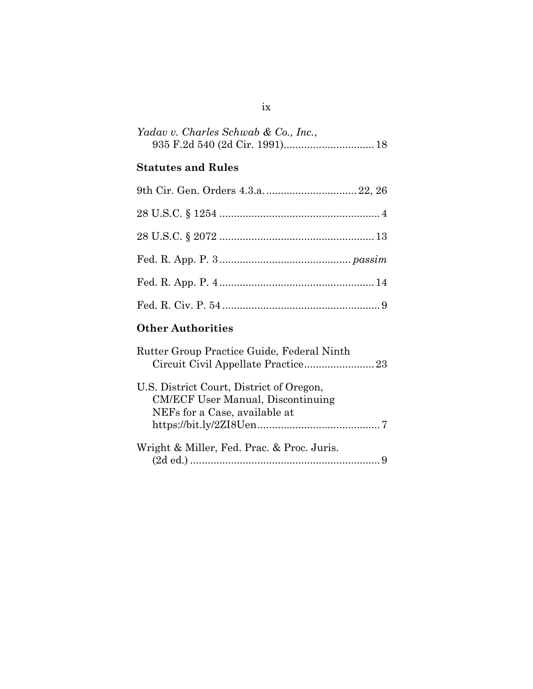| Yadav v. Charles Schwab & Co., Inc., |  |  |
|--------------------------------------|--|--|
|                                      |  |  |

# **Statutes and Rules**

# **Other Authorities**

| Rutter Group Practice Guide, Federal Ninth |  |
|--------------------------------------------|--|
|                                            |  |
| U.S. District Court, District of Oregon,   |  |
| <b>CM/ECF User Manual, Discontinuing</b>   |  |
| NEFs for a Case, available at              |  |
|                                            |  |
| Wright & Miller, Fed. Prac. & Proc. Juris. |  |
|                                            |  |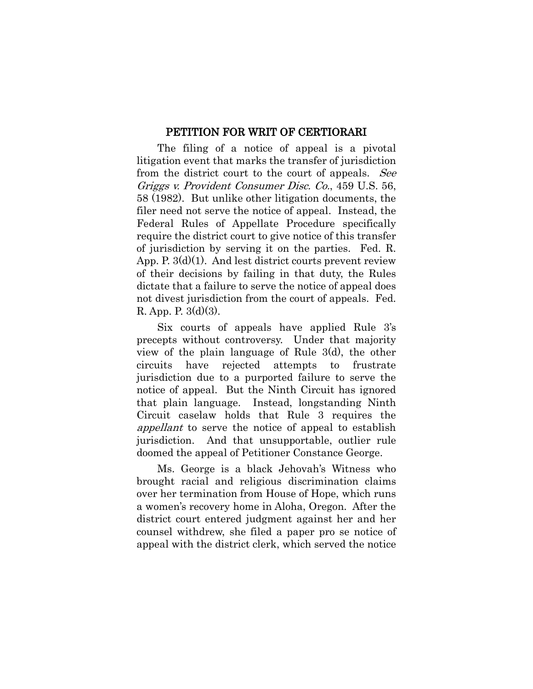#### <span id="page-10-1"></span>PETITION FOR WRIT OF CERTIORARI

<span id="page-10-0"></span>The filing of a notice of appeal is a pivotal litigation event that marks the transfer of jurisdiction from the district court to the court of appeals. See Griggs v. Provident Consumer Disc. Co., 459 U.S. 56, 58 (1982). But unlike other litigation documents, the filer need not serve the notice of appeal. Instead, the Federal Rules of Appellate Procedure specifically require the district court to give notice of this transfer of jurisdiction by serving it on the parties. Fed. R. App. P. 3(d)(1). And lest district courts prevent review of their decisions by failing in that duty, the Rules dictate that a failure to serve the notice of appeal does not divest jurisdiction from the court of appeals. Fed. R. App. P. 3(d)(3).

Six courts of appeals have applied Rule 3's precepts without controversy. Under that majority view of the plain language of Rule 3(d), the other circuits have rejected attempts to frustrate jurisdiction due to a purported failure to serve the notice of appeal. But the Ninth Circuit has ignored that plain language. Instead, longstanding Ninth Circuit caselaw holds that Rule 3 requires the appellant to serve the notice of appeal to establish jurisdiction. And that unsupportable, outlier rule doomed the appeal of Petitioner Constance George.

Ms. George is a black Jehovah's Witness who brought racial and religious discrimination claims over her termination from House of Hope, which runs a women's recovery home in Aloha, Oregon. After the district court entered judgment against her and her counsel withdrew, she filed a paper pro se notice of appeal with the district clerk, which served the notice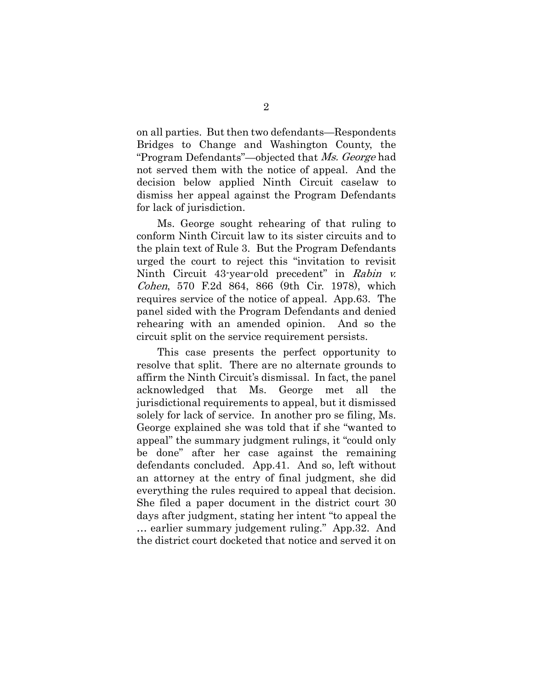on all parties. But then two defendants—Respondents Bridges to Change and Washington County, the "Program Defendants"—objected that Ms. George had not served them with the notice of appeal. And the decision below applied Ninth Circuit caselaw to dismiss her appeal against the Program Defendants for lack of jurisdiction.

<span id="page-11-0"></span>Ms. George sought rehearing of that ruling to conform Ninth Circuit law to its sister circuits and to the plain text of Rule 3. But the Program Defendants urged the court to reject this "invitation to revisit Ninth Circuit 43-year-old precedent" in Rabin v. Cohen, 570 F.2d 864, 866 (9th Cir. 1978), which requires service of the notice of appeal. App.63. The panel sided with the Program Defendants and denied rehearing with an amended opinion. And so the circuit split on the service requirement persists.

This case presents the perfect opportunity to resolve that split. There are no alternate grounds to affirm the Ninth Circuit's dismissal. In fact, the panel acknowledged that Ms. George met all the jurisdictional requirements to appeal, but it dismissed solely for lack of service. In another pro se filing, Ms. George explained she was told that if she "wanted to appeal" the summary judgment rulings, it "could only be done" after her case against the remaining defendants concluded. App.41. And so, left without an attorney at the entry of final judgment, she did everything the rules required to appeal that decision. She filed a paper document in the district court 30 days after judgment, stating her intent "to appeal the … earlier summary judgement ruling." App.32. And the district court docketed that notice and served it on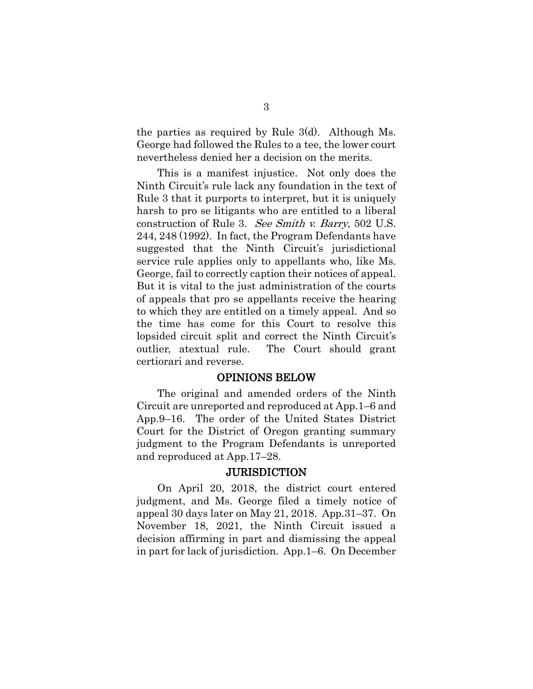the parties as required by Rule 3(d). Although Ms. George had followed the Rules to a tee, the lower court nevertheless denied her a decision on the merits.

<span id="page-12-0"></span>This is a manifest injustice. Not only does the Ninth Circuit's rule lack any foundation in the text of Rule 3 that it purports to interpret, but it is uniquely harsh to pro se litigants who are entitled to a liberal construction of Rule 3. See Smith v. Barry, 502 U.S. 244, 248 (1992). In fact, the Program Defendants have suggested that the Ninth Circuit's jurisdictional service rule applies only to appellants who, like Ms. George, fail to correctly caption their notices of appeal. But it is vital to the just administration of the courts of appeals that pro se appellants receive the hearing to which they are entitled on a timely appeal. And so the time has come for this Court to resolve this lopsided circuit split and correct the Ninth Circuit's outlier, atextual rule. The Court should grant certiorari and reverse.

#### OPINIONS BELOW

The original and amended orders of the Ninth Circuit are unreported and reproduced at App.1–6 and App.9–16. The order of the United States District Court for the District of Oregon granting summary judgment to the Program Defendants is unreported and reproduced at App.17–28.

#### **JURISDICTION**

On April 20, 2018, the district court entered judgment, and Ms. George filed a timely notice of appeal 30 days later on May 21, 2018. App.31–37. On November 18, 2021, the Ninth Circuit issued a decision affirming in part and dismissing the appeal in part for lack of jurisdiction. App.1–6. On December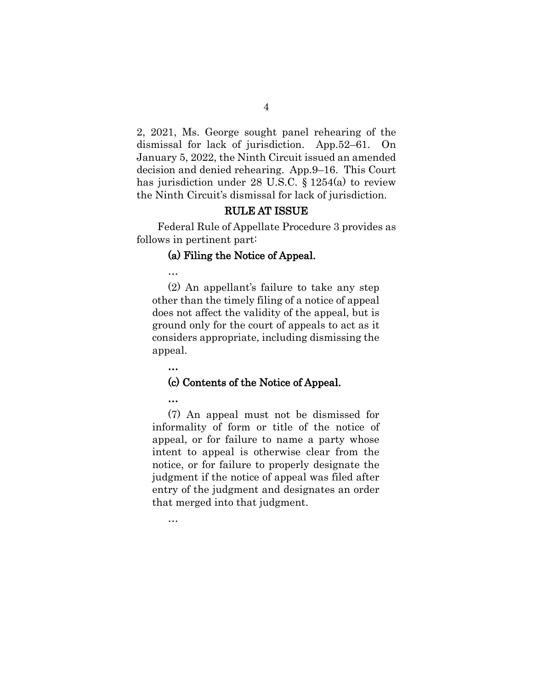2, 2021, Ms. George sought panel rehearing of the dismissal for lack of jurisdiction. App.52–61. On January 5, 2022, the Ninth Circuit issued an amended decision and denied rehearing. App.9–16. This Court has jurisdiction under 28 U.S.C. § 1254(a) to review the Ninth Circuit's dismissal for lack of jurisdiction.

4

### <span id="page-13-0"></span>RULE AT ISSUE

Federal Rule of Appellate Procedure 3 provides as follows in pertinent part:

#### (a) Filing the Notice of Appeal.

…

(2) An appellant's failure to take any step other than the timely filing of a notice of appeal does not affect the validity of the appeal, but is ground only for the court of appeals to act as it considers appropriate, including dismissing the appeal.

…

#### (c) Contents of the Notice of Appeal.

…

…

(7) An appeal must not be dismissed for informality of form or title of the notice of appeal, or for failure to name a party whose intent to appeal is otherwise clear from the notice, or for failure to properly designate the judgment if the notice of appeal was filed after entry of the judgment and designates an order that merged into that judgment.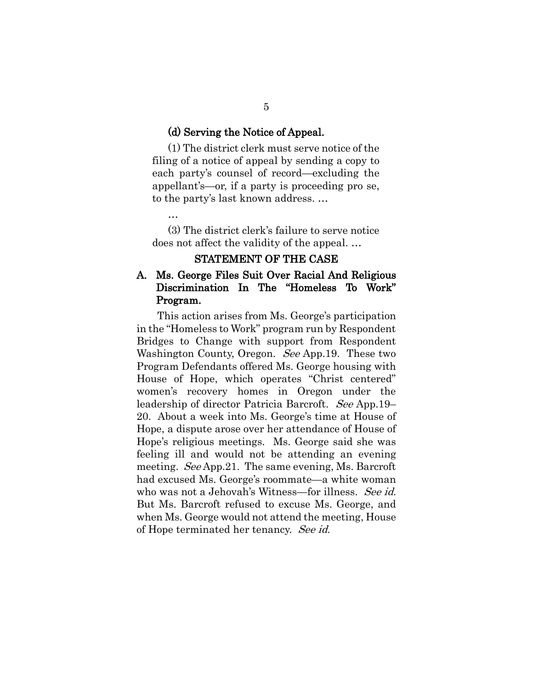#### (d) Serving the Notice of Appeal.

(1) The district clerk must serve notice of the filing of a notice of appeal by sending a copy to each party's counsel of record—excluding the appellant's—or, if a party is proceeding pro se, to the party's last known address. …

…

(3) The district clerk's failure to serve notice does not affect the validity of the appeal. …

#### STATEMENT OF THE CASE

# A. Ms. George Files Suit Over Racial And Religious Discrimination In The "Homeless To Work" Program.

This action arises from Ms. George's participation in the "Homeless to Work" program run by Respondent Bridges to Change with support from Respondent Washington County, Oregon. See App.19. These two Program Defendants offered Ms. George housing with House of Hope, which operates "Christ centered" women's recovery homes in Oregon under the leadership of director Patricia Barcroft. See App.19– 20. About a week into Ms. George's time at House of Hope, a dispute arose over her attendance of House of Hope's religious meetings. Ms. George said she was feeling ill and would not be attending an evening meeting. See App. 21. The same evening, Ms. Barcroft had excused Ms. George's roommate—a white woman who was not a Jehovah's Witness—for illness. See id. But Ms. Barcroft refused to excuse Ms. George, and when Ms. George would not attend the meeting, House of Hope terminated her tenancy. See id.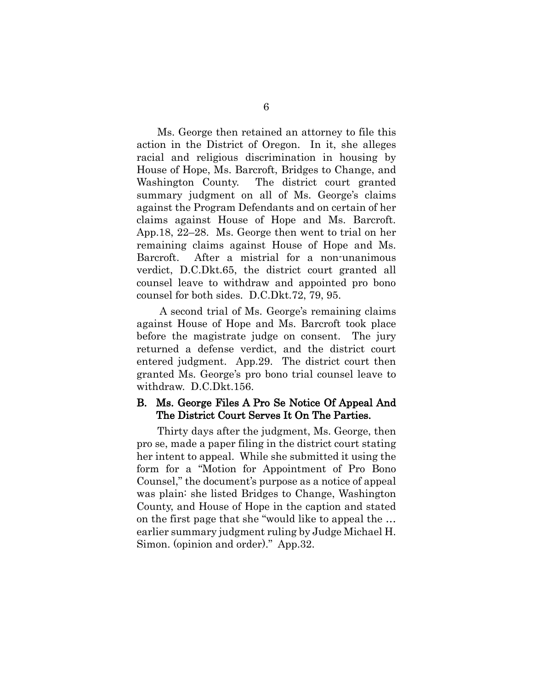Ms. George then retained an attorney to file this action in the District of Oregon. In it, she alleges racial and religious discrimination in housing by House of Hope, Ms. Barcroft, Bridges to Change, and Washington County. The district court granted summary judgment on all of Ms. George's claims against the Program Defendants and on certain of her claims against House of Hope and Ms. Barcroft. App.18, 22–28. Ms. George then went to trial on her remaining claims against House of Hope and Ms. Barcroft. After a mistrial for a non-unanimous verdict, D.C.Dkt.65, the district court granted all counsel leave to withdraw and appointed pro bono counsel for both sides. D.C.Dkt.72, 79, 95.

A second trial of Ms. George's remaining claims against House of Hope and Ms. Barcroft took place before the magistrate judge on consent. The jury returned a defense verdict, and the district court entered judgment. App.29. The district court then granted Ms. George's pro bono trial counsel leave to withdraw. D.C.Dkt.156.

#### B. Ms. George Files A Pro Se Notice Of Appeal And The District Court Serves It On The Parties.

Thirty days after the judgment, Ms. George, then pro se, made a paper filing in the district court stating her intent to appeal. While she submitted it using the form for a "Motion for Appointment of Pro Bono Counsel," the document's purpose as a notice of appeal was plain: she listed Bridges to Change, Washington County, and House of Hope in the caption and stated on the first page that she "would like to appeal the … earlier summary judgment ruling by Judge Michael H. Simon. (opinion and order)." App.32.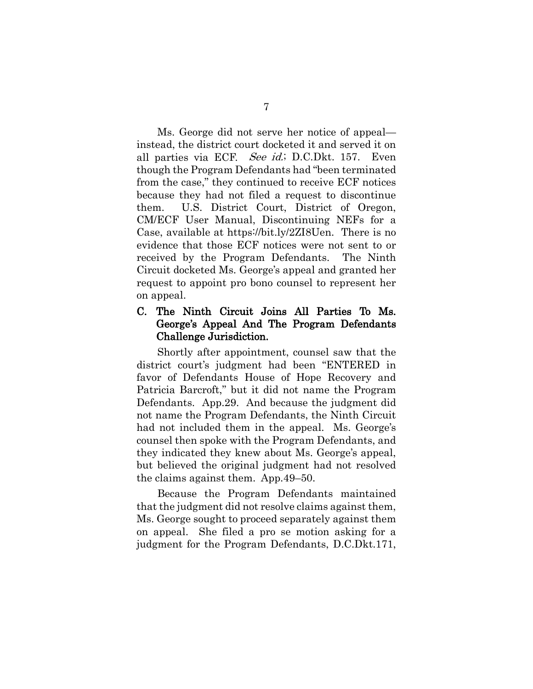<span id="page-16-0"></span>Ms. George did not serve her notice of appeal instead, the district court docketed it and served it on all parties via ECF. See id.; D.C.Dkt. 157. Even though the Program Defendants had "been terminated from the case," they continued to receive ECF notices because they had not filed a request to discontinue them. U.S. District Court, District of Oregon, CM/ECF User Manual, Discontinuing NEFs for a Case, available at https://bit.ly/2ZI8Uen. There is no evidence that those ECF notices were not sent to or received by the Program Defendants. The Ninth Circuit docketed Ms. George's appeal and granted her request to appoint pro bono counsel to represent her on appeal.

## C. The Ninth Circuit Joins All Parties To Ms. George's Appeal And The Program Defendants Challenge Jurisdiction.

Shortly after appointment, counsel saw that the district court's judgment had been "ENTERED in favor of Defendants House of Hope Recovery and Patricia Barcroft," but it did not name the Program Defendants. App.29. And because the judgment did not name the Program Defendants, the Ninth Circuit had not included them in the appeal. Ms. George's counsel then spoke with the Program Defendants, and they indicated they knew about Ms. George's appeal, but believed the original judgment had not resolved the claims against them. App.49–50.

Because the Program Defendants maintained that the judgment did not resolve claims against them, Ms. George sought to proceed separately against them on appeal. She filed a pro se motion asking for a judgment for the Program Defendants, D.C.Dkt.171,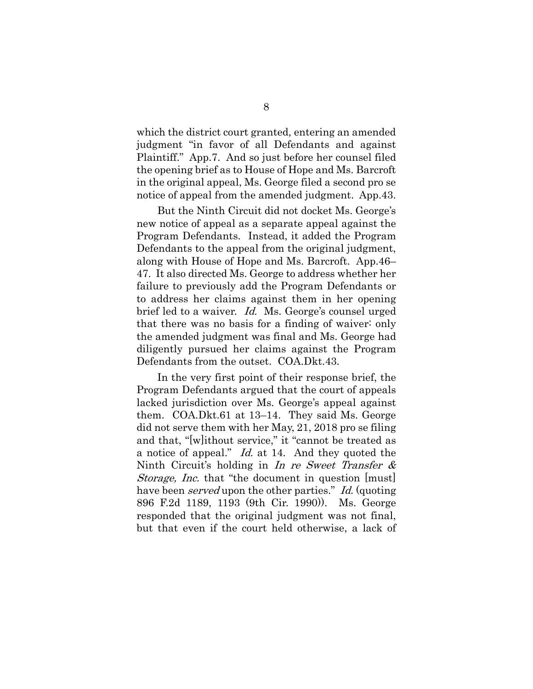which the district court granted, entering an amended judgment "in favor of all Defendants and against Plaintiff." App.7. And so just before her counsel filed the opening brief as to House of Hope and Ms. Barcroft in the original appeal, Ms. George filed a second pro se notice of appeal from the amended judgment. App.43.

But the Ninth Circuit did not docket Ms. George's new notice of appeal as a separate appeal against the Program Defendants. Instead, it added the Program Defendants to the appeal from the original judgment, along with House of Hope and Ms. Barcroft. App.46– 47. It also directed Ms. George to address whether her failure to previously add the Program Defendants or to address her claims against them in her opening brief led to a waiver. *Id.* Ms. George's counsel urged that there was no basis for a finding of waiver: only the amended judgment was final and Ms. George had diligently pursued her claims against the Program Defendants from the outset. COA.Dkt.43.

<span id="page-17-0"></span>In the very first point of their response brief, the Program Defendants argued that the court of appeals lacked jurisdiction over Ms. George's appeal against them. COA.Dkt.61 at 13–14. They said Ms. George did not serve them with her May, 21, 2018 pro se filing and that, "[w]ithout service," it "cannot be treated as a notice of appeal." Id. at 14. And they quoted the Ninth Circuit's holding in In re Sweet Transfer & Storage, Inc. that "the document in question [must] have been *served* upon the other parties." Id. (quoting 896 F.2d 1189, 1193 (9th Cir. 1990)). Ms. George responded that the original judgment was not final, but that even if the court held otherwise, a lack of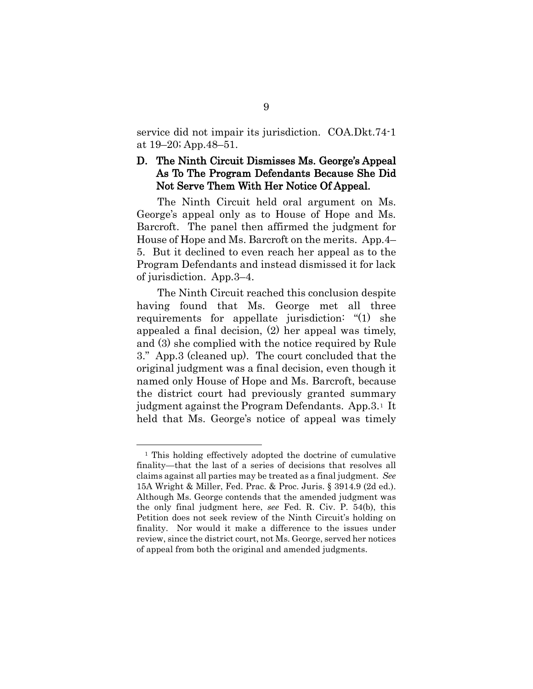service did not impair its jurisdiction. COA.Dkt.74-1 at 19–20; App.48–51.

## D. The Ninth Circuit Dismisses Ms. George's Appeal As To The Program Defendants Because She Did Not Serve Them With Her Notice Of Appeal.

The Ninth Circuit held oral argument on Ms. George's appeal only as to House of Hope and Ms. Barcroft. The panel then affirmed the judgment for House of Hope and Ms. Barcroft on the merits. App.4– 5. But it declined to even reach her appeal as to the Program Defendants and instead dismissed it for lack of jurisdiction. App.3–4.

The Ninth Circuit reached this conclusion despite having found that Ms. George met all three requirements for appellate jurisdiction: "(1) she appealed a final decision, (2) her appeal was timely, and (3) she complied with the notice required by Rule 3." App.3 (cleaned up). The court concluded that the original judgment was a final decision, even though it named only House of Hope and Ms. Barcroft, because the district court had previously granted summary judgment against the Program Defendants. App. 3.<sup>[1](#page-18-2)</sup> It held that Ms. George's notice of appeal was timely

<span id="page-18-2"></span><span id="page-18-1"></span><span id="page-18-0"></span><sup>&</sup>lt;sup>1</sup> This holding effectively adopted the doctrine of cumulative finality—that the last of a series of decisions that resolves all claims against all parties may be treated as a final judgment. *See*  15A Wright & Miller, Fed. Prac. & Proc. Juris. § 3914.9 (2d ed.). Although Ms. George contends that the amended judgment was the only final judgment here, *see* Fed. R. Civ. P. 54(b), this Petition does not seek review of the Ninth Circuit's holding on finality. Nor would it make a difference to the issues under review, since the district court, not Ms. George, served her notices of appeal from both the original and amended judgments.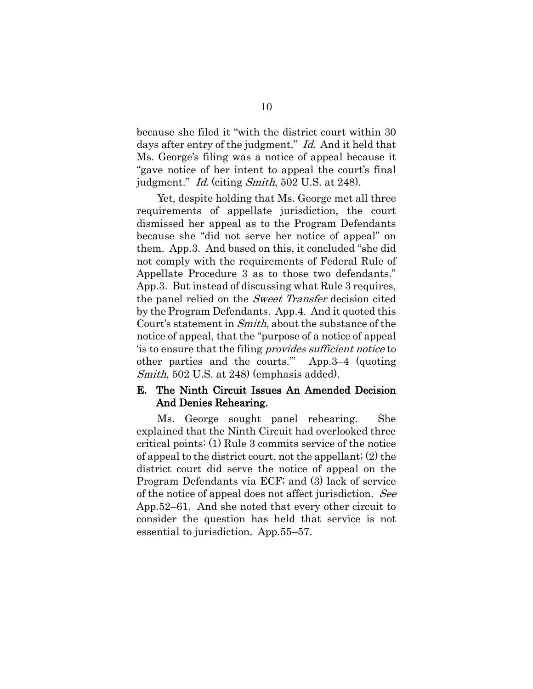because she filed it "with the district court within 30 days after entry of the judgment." Id. And it held that Ms. George's filing was a notice of appeal because it "gave notice of her intent to appeal the court's final judgment." Id. (citing Smith, 502 U.S. at 248).

Yet, despite holding that Ms. George met all three requirements of appellate jurisdiction, the court dismissed her appeal as to the Program Defendants because she "did not serve her notice of appeal" on them. App.3. And based on this, it concluded "she did not comply with the requirements of Federal Rule of Appellate Procedure 3 as to those two defendants." App.3. But instead of discussing what Rule 3 requires, the panel relied on the *Sweet Transfer* decision cited by the Program Defendants. App.4. And it quoted this Court's statement in Smith, about the substance of the notice of appeal, that the "purpose of a notice of appeal 'is to ensure that the filing provides sufficient notice to other parties and the courts.'" App.3–4 (quoting Smith, 502 U.S. at 248 (emphasis added).

#### E. The Ninth Circuit Issues An Amended Decision And Denies Rehearing.

Ms. George sought panel rehearing. She explained that the Ninth Circuit had overlooked three critical points: (1) Rule 3 commits service of the notice of appeal to the district court, not the appellant; (2) the district court did serve the notice of appeal on the Program Defendants via ECF; and (3) lack of service of the notice of appeal does not affect jurisdiction. See App.52–61. And she noted that every other circuit to consider the question has held that service is not essential to jurisdiction. App.55–57.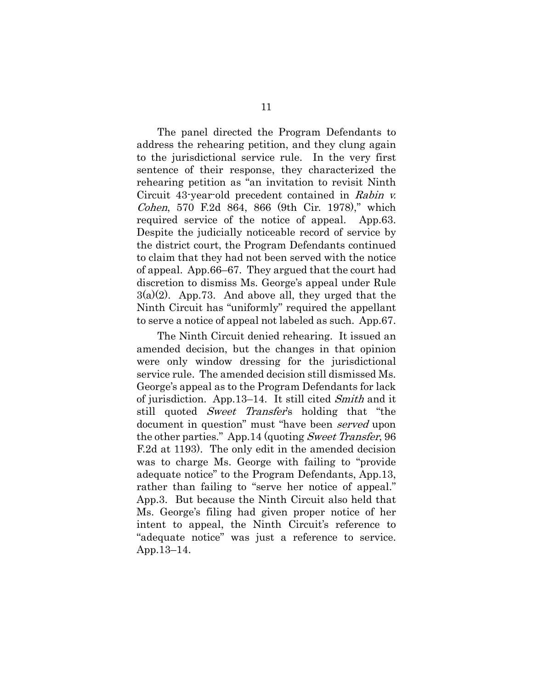The panel directed the Program Defendants to address the rehearing petition, and they clung again to the jurisdictional service rule. In the very first sentence of their response, they characterized the rehearing petition as "an invitation to revisit Ninth Circuit 43-year-old precedent contained in Rabin v. Cohen, 570 F.2d 864, 866 (9th Cir. 1978)," which required service of the notice of appeal. App.63. Despite the judicially noticeable record of service by the district court, the Program Defendants continued to claim that they had not been served with the notice of appeal. App.66–67. They argued that the court had discretion to dismiss Ms. George's appeal under Rule  $3(a)(2)$ . App.73. And above all, they urged that the Ninth Circuit has "uniformly" required the appellant to serve a notice of appeal not labeled as such. App.67.

The Ninth Circuit denied rehearing. It issued an amended decision, but the changes in that opinion were only window dressing for the jurisdictional service rule. The amended decision still dismissed Ms. George's appeal as to the Program Defendants for lack of jurisdiction. App.13–14. It still cited Smith and it still quoted *Sweet Transfer's* holding that "the document in question" must "have been *served* upon the other parties." App.14 (quoting Sweet Transfer, 96) F.2d at 1193). The only edit in the amended decision was to charge Ms. George with failing to "provide adequate notice" to the Program Defendants, App.13, rather than failing to "serve her notice of appeal." App.3. But because the Ninth Circuit also held that Ms. George's filing had given proper notice of her intent to appeal, the Ninth Circuit's reference to "adequate notice" was just a reference to service. App.13–14.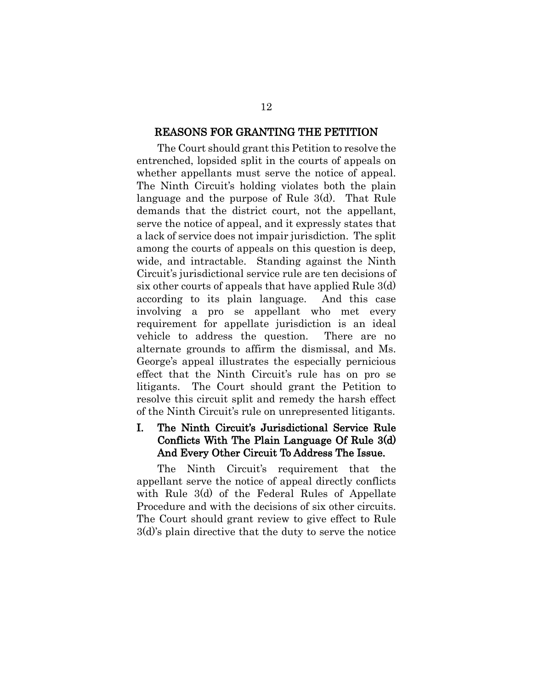#### REASONS FOR GRANTING THE PETITION

The Court should grant this Petition to resolve the entrenched, lopsided split in the courts of appeals on whether appellants must serve the notice of appeal. The Ninth Circuit's holding violates both the plain language and the purpose of Rule 3(d). That Rule demands that the district court, not the appellant, serve the notice of appeal, and it expressly states that a lack of service does not impair jurisdiction. The split among the courts of appeals on this question is deep, wide, and intractable. Standing against the Ninth Circuit's jurisdictional service rule are ten decisions of six other courts of appeals that have applied Rule 3(d) according to its plain language. And this case involving a pro se appellant who met every requirement for appellate jurisdiction is an ideal vehicle to address the question. There are no alternate grounds to affirm the dismissal, and Ms. George's appeal illustrates the especially pernicious effect that the Ninth Circuit's rule has on pro se litigants. The Court should grant the Petition to resolve this circuit split and remedy the harsh effect of the Ninth Circuit's rule on unrepresented litigants.

# I. The Ninth Circuit's Jurisdictional Service Rule Conflicts With The Plain Language Of Rule 3(d) And Every Other Circuit To Address The Issue.

The Ninth Circuit's requirement that the appellant serve the notice of appeal directly conflicts with Rule 3(d) of the Federal Rules of Appellate Procedure and with the decisions of six other circuits. The Court should grant review to give effect to Rule 3(d)'s plain directive that the duty to serve the notice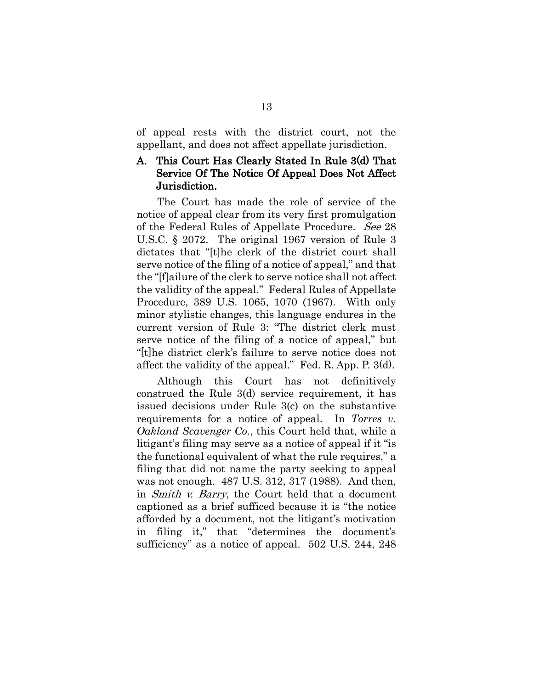of appeal rests with the district court, not the appellant, and does not affect appellate jurisdiction.

# A. This Court Has Clearly Stated In Rule 3(d) That Service Of The Notice Of Appeal Does Not Affect Jurisdiction.

<span id="page-22-1"></span>The Court has made the role of service of the notice of appeal clear from its very first promulgation of the Federal Rules of Appellate Procedure. See 28 U.S.C. § 2072. The original 1967 version of Rule 3 dictates that "[t]he clerk of the district court shall serve notice of the filing of a notice of appeal," and that the "[f]ailure of the clerk to serve notice shall not affect the validity of the appeal." Federal Rules of Appellate Procedure, 389 U.S. 1065, 1070 (1967). With only minor stylistic changes, this language endures in the current version of Rule 3: "The district clerk must serve notice of the filing of a notice of appeal," but "[t]he district clerk's failure to serve notice does not affect the validity of the appeal." Fed. R. App. P. 3(d).

<span id="page-22-0"></span>Although this Court has not definitively construed the Rule 3(d) service requirement, it has issued decisions under Rule 3(c) on the substantive requirements for a notice of appeal. In *Torres v. Oakland Scavenger Co.*, this Court held that, while a litigant's filing may serve as a notice of appeal if it "is the functional equivalent of what the rule requires," a filing that did not name the party seeking to appeal was not enough. 487 U.S. 312, 317 (1988). And then, in Smith v. Barry, the Court held that a document captioned as a brief sufficed because it is "the notice afforded by a document, not the litigant's motivation in filing it," that "determines the document's sufficiency" as a notice of appeal. 502 U.S. 244, 248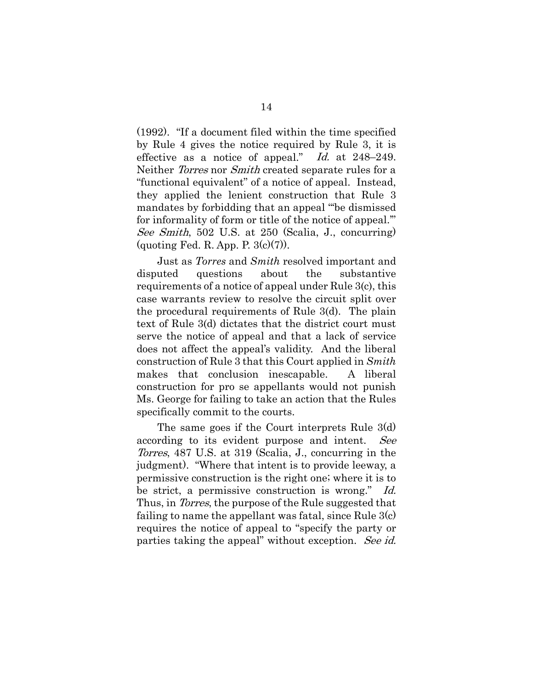<span id="page-23-0"></span>(1992). "If a document filed within the time specified by Rule 4 gives the notice required by Rule 3, it is effective as a notice of appeal." Id. at 248–249. Neither *Torres* nor *Smith* created separate rules for a "functional equivalent" of a notice of appeal. Instead, they applied the lenient construction that Rule 3 mandates by forbidding that an appeal "'be dismissed for informality of form or title of the notice of appeal.'" See Smith, 502 U.S. at 250 (Scalia, J., concurring) (quoting Fed. R. App. P.  $3(c)(7)$ ).

Just as *Torres* and *Smith* resolved important and disputed questions about the substantive requirements of a notice of appeal under Rule 3(c), this case warrants review to resolve the circuit split over the procedural requirements of Rule 3(d). The plain text of Rule 3(d) dictates that the district court must serve the notice of appeal and that a lack of service does not affect the appeal's validity. And the liberal construction of Rule 3 that this Court applied in *Smith*  makes that conclusion inescapable. A liberal construction for pro se appellants would not punish Ms. George for failing to take an action that the Rules specifically commit to the courts.

The same goes if the Court interprets Rule 3(d) according to its evident purpose and intent. See Torres, 487 U.S. at 319 (Scalia, J., concurring in the judgment). "Where that intent is to provide leeway, a permissive construction is the right one; where it is to be strict, a permissive construction is wrong." Id. Thus, in *Torres*, the purpose of the Rule suggested that failing to name the appellant was fatal, since Rule 3(c) requires the notice of appeal to "specify the party or parties taking the appeal" without exception. See id.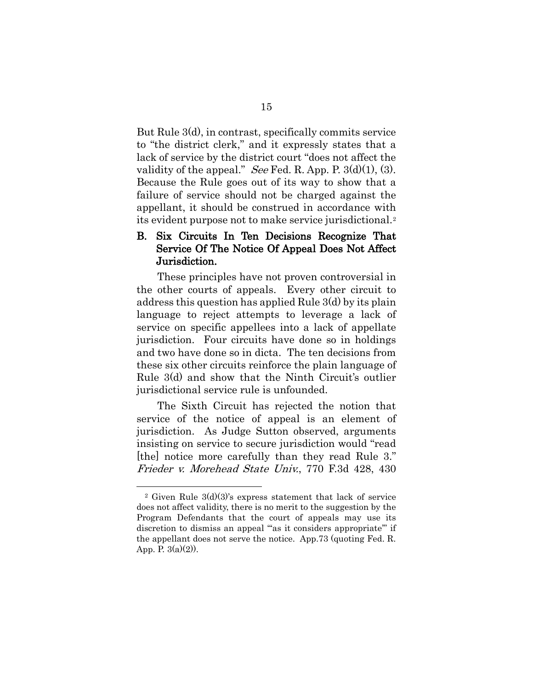But Rule 3(d), in contrast, specifically commits service to "the district clerk," and it expressly states that a lack of service by the district court "does not affect the validity of the appeal." See Fed. R. App. P.  $3(d)(1)$ , (3). Because the Rule goes out of its way to show that a failure of service should not be charged against the appellant, it should be construed in accordance with its evident purpose not to make service jurisdictional.[2](#page-24-1)

## B. Six Circuits In Ten Decisions Recognize That Service Of The Notice Of Appeal Does Not Affect Jurisdiction.

These principles have not proven controversial in the other courts of appeals. Every other circuit to address this question has applied Rule 3(d) by its plain language to reject attempts to leverage a lack of service on specific appellees into a lack of appellate jurisdiction. Four circuits have done so in holdings and two have done so in dicta. The ten decisions from these six other circuits reinforce the plain language of Rule 3(d) and show that the Ninth Circuit's outlier jurisdictional service rule is unfounded.

The Sixth Circuit has rejected the notion that service of the notice of appeal is an element of jurisdiction. As Judge Sutton observed, arguments insisting on service to secure jurisdiction would "read [the] notice more carefully than they read Rule 3." Frieder v. Morehead State Univ., 770 F.3d 428, 430

<span id="page-24-1"></span><span id="page-24-0"></span><sup>&</sup>lt;sup>2</sup> Given Rule  $3(d)(3)$ 's express statement that lack of service does not affect validity, there is no merit to the suggestion by the Program Defendants that the court of appeals may use its discretion to dismiss an appeal ""as it considers appropriate" if the appellant does not serve the notice. App.73 (quoting Fed. R. App. P.  $3(a)(2)$ ).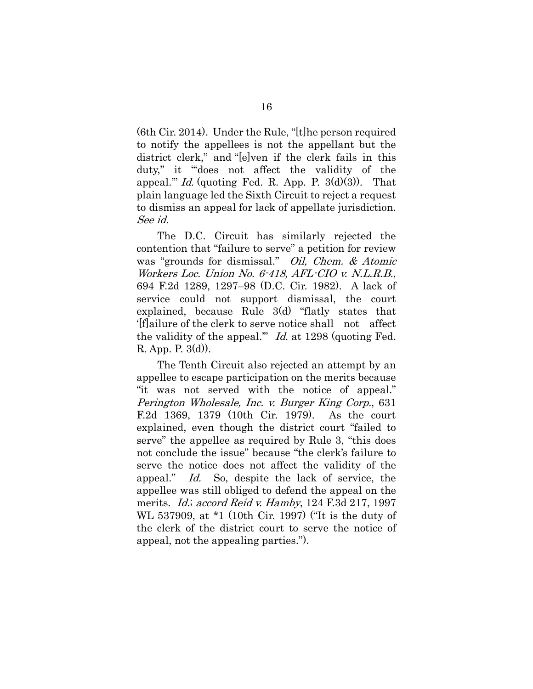<span id="page-25-0"></span>(6th Cir. 2014). Under the Rule, "[t]he person required to notify the appellees is not the appellant but the district clerk," and "[e]ven if the clerk fails in this duty," it "'does not affect the validity of the appeal." Id. (quoting Fed. R. App. P.  $3(d)(3)$ ). That plain language led the Sixth Circuit to reject a request to dismiss an appeal for lack of appellate jurisdiction. See id.

<span id="page-25-1"></span>The D.C. Circuit has similarly rejected the contention that "failure to serve" a petition for review was "grounds for dismissal." Oil, Chem. & Atomic Workers Loc. Union No. 6-418, AFL-CIO v. N.L.R.B., 694 F.2d 1289, 1297–98 (D.C. Cir. 1982). A lack of service could not support dismissal, the court explained, because Rule 3(d) "flatly states that '[f]ailure of the clerk to serve notice shall not affect the validity of the appeal." Id. at 1298 (quoting Fed. R. App. P. 3(d)).

<span id="page-25-3"></span><span id="page-25-2"></span>The Tenth Circuit also rejected an attempt by an appellee to escape participation on the merits because "it was not served with the notice of appeal." Perington Wholesale, Inc. v. Burger King Corp., 631 F.2d 1369, 1379 (10th Cir. 1979). As the court explained, even though the district court "failed to serve" the appellee as required by Rule 3, "this does not conclude the issue" because "the clerk's failure to serve the notice does not affect the validity of the appeal." Id. So, despite the lack of service, the appellee was still obliged to defend the appeal on the merits. *Id.; accord Reid v. Hamby*, 124 F.3d 217, 1997 WL 537909, at \*1 (10th Cir. 1997) ("It is the duty of the clerk of the district court to serve the notice of appeal, not the appealing parties.").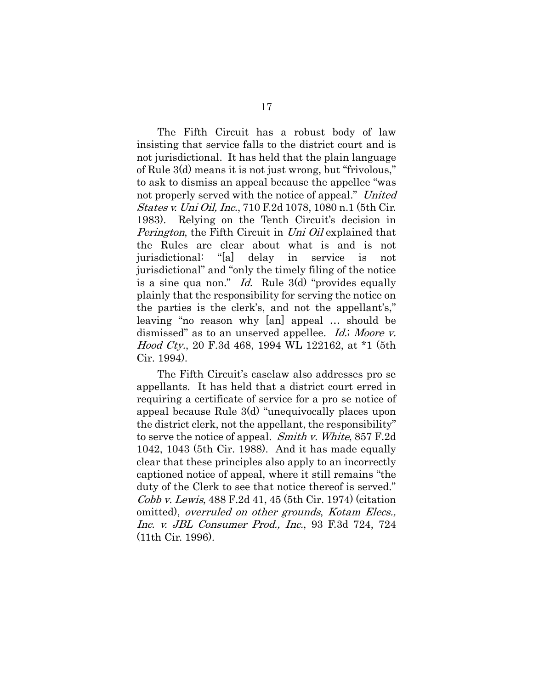<span id="page-26-4"></span><span id="page-26-2"></span>The Fifth Circuit has a robust body of law insisting that service falls to the district court and is not jurisdictional. It has held that the plain language of Rule 3(d) means it is not just wrong, but "frivolous," to ask to dismiss an appeal because the appellee "was not properly served with the notice of appeal." United States v. Uni Oil, Inc., 710 F.2d 1078, 1080 n.1 (5th Cir. 1983). Relying on the Tenth Circuit's decision in Perington, the Fifth Circuit in Uni Oil explained that the Rules are clear about what is and is not jurisdictional: "[a] delay in service is not jurisdictional" and "only the timely filing of the notice is a sine qua non." *Id.* Rule 3(d) "provides equally plainly that the responsibility for serving the notice on the parties is the clerk's, and not the appellant's," leaving "no reason why [an] appeal … should be dismissed" as to an unserved appellee. *Id.*; Moore v. Hood Cty., 20 F.3d 468, 1994 WL 122162, at \*1 (5th Cir. 1994).

<span id="page-26-3"></span><span id="page-26-1"></span><span id="page-26-0"></span>The Fifth Circuit's caselaw also addresses pro se appellants. It has held that a district court erred in requiring a certificate of service for a pro se notice of appeal because Rule 3(d) "unequivocally places upon the district clerk, not the appellant, the responsibility" to serve the notice of appeal. Smith v. White, 857 F.2d 1042, 1043 (5th Cir. 1988). And it has made equally clear that these principles also apply to an incorrectly captioned notice of appeal, where it still remains "the duty of the Clerk to see that notice thereof is served." Cobb v. Lewis, 488 F.2d 41, 45 (5th Cir. 1974) (citation omitted), overruled on other grounds, Kotam Elecs., Inc. v. JBL Consumer Prod., Inc., 93 F.3d 724, 724 (11th Cir. 1996).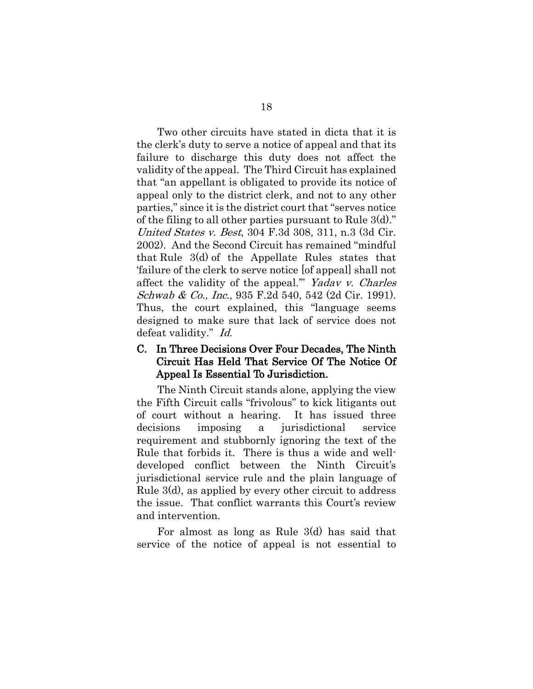<span id="page-27-0"></span>Two other circuits have stated in dicta that it is the clerk's duty to serve a notice of appeal and that its failure to discharge this duty does not affect the validity of the appeal. The Third Circuit has explained that "an appellant is obligated to provide its notice of appeal only to the district clerk, and not to any other parties," since it is the district court that "serves notice of the filing to all other parties pursuant to Rule  $3(d)$ ." United States v. Best, 304 F.3d 308, 311, n.3 (3d Cir. 2002). And the Second Circuit has remained "mindful that Rule 3(d) of the Appellate Rules states that 'failure of the clerk to serve notice [of appeal] shall not affect the validity of the appeal.'" Yadav v. Charles Schwab & Co., Inc., 935 F.2d 540, 542 (2d Cir. 1991). Thus, the court explained, this "language seems designed to make sure that lack of service does not defeat validity." Id.

## <span id="page-27-1"></span>C. In Three Decisions Over Four Decades, The Ninth Circuit Has Held That Service Of The Notice Of Appeal Is Essential To Jurisdiction.

The Ninth Circuit stands alone, applying the view the Fifth Circuit calls "frivolous" to kick litigants out of court without a hearing. It has issued three decisions imposing a jurisdictional service requirement and stubbornly ignoring the text of the Rule that forbids it. There is thus a wide and welldeveloped conflict between the Ninth Circuit's jurisdictional service rule and the plain language of Rule 3(d), as applied by every other circuit to address the issue. That conflict warrants this Court's review and intervention.

For almost as long as Rule 3(d) has said that service of the notice of appeal is not essential to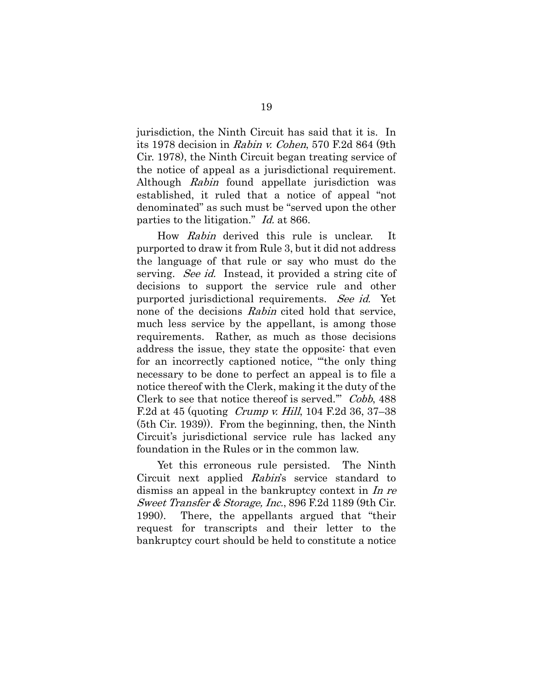jurisdiction, the Ninth Circuit has said that it is. In its 1978 decision in Rabin v. Cohen, 570 F.2d 864 (9th Cir. 1978), the Ninth Circuit began treating service of the notice of appeal as a jurisdictional requirement. Although Rabin found appellate jurisdiction was established, it ruled that a notice of appeal "not denominated" as such must be "served upon the other parties to the litigation." Id. at 866.

How Rabin derived this rule is unclear. It purported to draw it from Rule 3, but it did not address the language of that rule or say who must do the serving. See id. Instead, it provided a string cite of decisions to support the service rule and other purported jurisdictional requirements. See id. Yet none of the decisions *Rabin* cited hold that service, much less service by the appellant, is among those requirements. Rather, as much as those decisions address the issue, they state the opposite: that even for an incorrectly captioned notice, "'the only thing necessary to be done to perfect an appeal is to file a notice thereof with the Clerk, making it the duty of the Clerk to see that notice thereof is served.'" Cobb, 488 F.2d at 45 (quoting [Crump v. Hill](https://1.next.westlaw.com/Link/Document/FullText?findType=Y&serNum=1939121571&pubNum=350&originatingDoc=I71c9e520903a11d98e8fb00d6c6a02dd&refType=RP&originationContext=document&transitionType=DocumentItem&ppcid=dc4d8fc31c0b4da3a0b8949c861d923e&contextData=(sc.DocLink)), 104 F.2d 36, 37–38 (5th Cir. 1939)). From the beginning, then, the Ninth Circuit's jurisdictional service rule has lacked any foundation in the Rules or in the common law.

<span id="page-28-1"></span><span id="page-28-0"></span>Yet this erroneous rule persisted. The Ninth Circuit next applied Rabin's service standard to dismiss an appeal in the bankruptcy context in In re Sweet Transfer & Storage, Inc., 896 F.2d 1189 (9th Cir. 1990). There, the appellants argued that "their request for transcripts and their letter to the bankruptcy court should be held to constitute a notice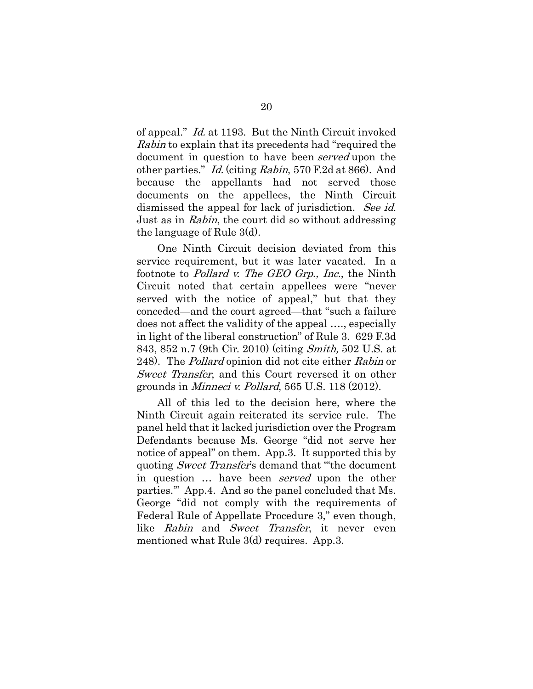of appeal." Id. at 1193. But the Ninth Circuit invoked Rabin to explain that its precedents had "required the document in question to have been served upon the other parties." Id. (citing Rabin, 570 F.2d at 866). And because the appellants had not served those documents on the appellees, the Ninth Circuit dismissed the appeal for lack of jurisdiction. See id. Just as in Rabin, the court did so without addressing the language of Rule 3(d).

<span id="page-29-1"></span>One Ninth Circuit decision deviated from this service requirement, but it was later vacated. In a footnote to *Pollard v. The GEO Grp., Inc.*, the Ninth Circuit noted that certain appellees were "never served with the notice of appeal," but that they conceded—and the court agreed—that "such a failure does not affect the validity of the appeal …., especially in light of the liberal construction" of Rule 3. 629 F.3d 843, 852 n.7 (9th Cir. 2010) (citing Smith, 502 U.S. at 248). The *Pollard* opinion did not cite either *Rabin* or Sweet Transfer, and this Court reversed it on other grounds in Minneci v. Pollard, 565 U.S. 118 (2012).

<span id="page-29-0"></span>All of this led to the decision here, where the Ninth Circuit again reiterated its service rule. The panel held that it lacked jurisdiction over the Program Defendants because Ms. George "did not serve her notice of appeal" on them. App.3. It supported this by quoting *Sweet Transfer's* demand that "the document" in question ... have been *served* upon the other parties.'" App.4. And so the panel concluded that Ms. George "did not comply with the requirements of Federal Rule of Appellate Procedure 3," even though, like Rabin and Sweet Transfer, it never even mentioned what Rule 3(d) requires. App.3.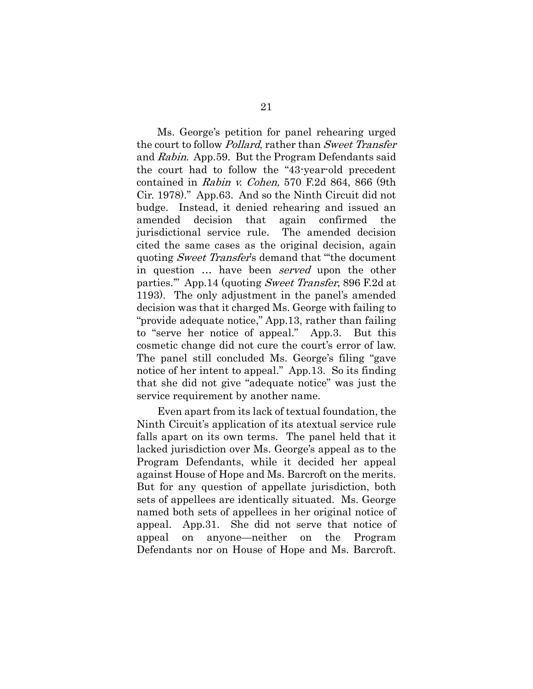Ms. George's petition for panel rehearing urged the court to follow *Pollard*, rather than *Sweet Transfer* and Rabin. App.59. But the Program Defendants said the court had to follow the "43-year-old precedent contained in Rabin v. Cohen, 570 F.2d 864, 866 (9th Cir. 1978)." App.63. And so the Ninth Circuit did not budge. Instead, it denied rehearing and issued an amended decision that again confirmed the jurisdictional service rule. The amended decision cited the same cases as the original decision, again quoting *Sweet Transfer's* demand that "the document" in question … have been served upon the other parties.'" App.14 (quoting Sweet Transfer, 896 F.2d at 1193). The only adjustment in the panel's amended decision was that it charged Ms. George with failing to "provide adequate notice," App.13, rather than failing to "serve her notice of appeal." App.3. But this cosmetic change did not cure the court's error of law. The panel still concluded Ms. George's filing "gave notice of her intent to appeal." App.13. So its finding that she did not give "adequate notice" was just the service requirement by another name.

Even apart from its lack of textual foundation, the Ninth Circuit's application of its atextual service rule falls apart on its own terms. The panel held that it lacked jurisdiction over Ms. George's appeal as to the Program Defendants, while it decided her appeal against House of Hope and Ms. Barcroft on the merits. But for any question of appellate jurisdiction, both sets of appellees are identically situated. Ms. George named both sets of appellees in her original notice of appeal. App.31. She did not serve that notice of appeal on anyone—neither on the Program Defendants nor on House of Hope and Ms. Barcroft.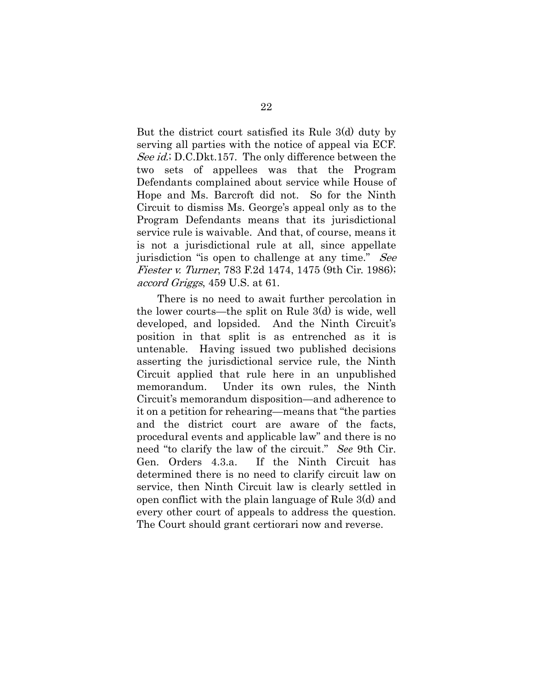But the district court satisfied its Rule 3(d) duty by serving all parties with the notice of appeal via ECF. See id.; D.C.Dkt.157. The only difference between the two sets of appellees was that the Program Defendants complained about service while House of Hope and Ms. Barcroft did not. So for the Ninth Circuit to dismiss Ms. George's appeal only as to the Program Defendants means that its jurisdictional service rule is waivable. And that, of course, means it is not a jurisdictional rule at all, since appellate jurisdiction "is open to challenge at any time." See Fiester v. Turner, 783 F.2d 1474, 1475 (9th Cir. 1986); accord Griggs, 459 U.S. at 61.

<span id="page-31-1"></span><span id="page-31-0"></span>There is no need to await further percolation in the lower courts—the split on Rule 3(d) is wide, well developed, and lopsided. And the Ninth Circuit's position in that split is as entrenched as it is untenable. Having issued two published decisions asserting the jurisdictional service rule, the Ninth Circuit applied that rule here in an unpublished memorandum. Under its own rules, the Ninth Circuit's memorandum disposition—and adherence to it on a petition for rehearing—means that "the parties and the district court are aware of the facts, procedural events and applicable law" and there is no need "to clarify the law of the circuit." *See* 9th Cir. Gen. Orders 4.3.a. If the Ninth Circuit has determined there is no need to clarify circuit law on service, then Ninth Circuit law is clearly settled in open conflict with the plain language of Rule 3(d) and every other court of appeals to address the question. The Court should grant certiorari now and reverse.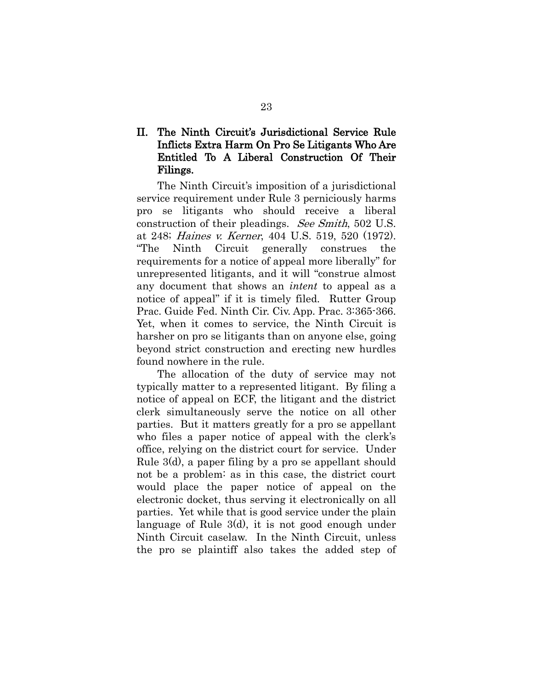# II. The Ninth Circuit's Jurisdictional Service Rule Inflicts Extra Harm On Pro Se Litigants Who Are Entitled To A Liberal Construction Of Their Filings.

<span id="page-32-0"></span>The Ninth Circuit's imposition of a jurisdictional service requirement under Rule 3 perniciously harms pro se litigants who should receive a liberal construction of their pleadings. See Smith, 502 U.S. at 248; Haines v. Kerner, 404 U.S. 519, 520 (1972). "The Ninth Circuit generally construes the requirements for a notice of appeal more liberally" for unrepresented litigants, and it will "construe almost any document that shows an *intent* to appeal as a notice of appeal" if it is timely filed. Rutter Group Prac. Guide Fed. Ninth Cir. Civ. App. Prac. 3:365-366. Yet, when it comes to service, the Ninth Circuit is harsher on pro se litigants than on anyone else, going beyond strict construction and erecting new hurdles found nowhere in the rule.

The allocation of the duty of service may not typically matter to a represented litigant. By filing a notice of appeal on ECF, the litigant and the district clerk simultaneously serve the notice on all other parties. But it matters greatly for a pro se appellant who files a paper notice of appeal with the clerk's office, relying on the district court for service. Under Rule 3(d), a paper filing by a pro se appellant should not be a problem: as in this case, the district court would place the paper notice of appeal on the electronic docket, thus serving it electronically on all parties. Yet while that is good service under the plain language of Rule 3(d), it is not good enough under Ninth Circuit caselaw. In the Ninth Circuit, unless the pro se plaintiff also takes the added step of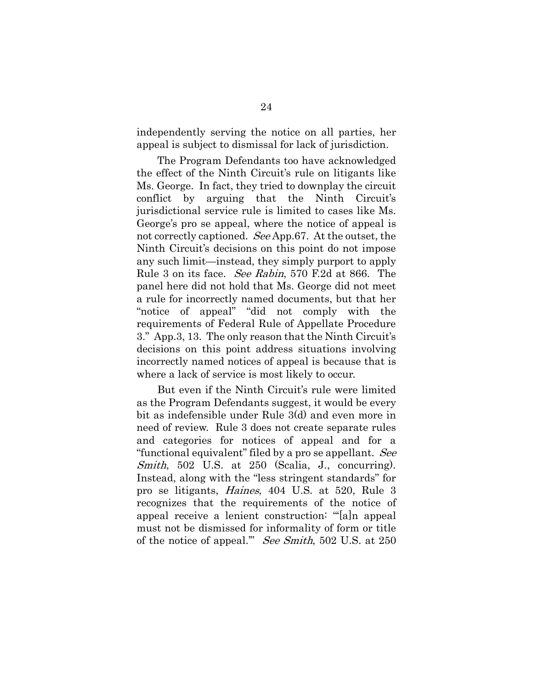independently serving the notice on all parties, her appeal is subject to dismissal for lack of jurisdiction.

The Program Defendants too have acknowledged the effect of the Ninth Circuit's rule on litigants like Ms. George. In fact, they tried to downplay the circuit conflict by arguing that the Ninth Circuit's jurisdictional service rule is limited to cases like Ms. George's pro se appeal, where the notice of appeal is not correctly captioned. See App.67. At the outset, the Ninth Circuit's decisions on this point do not impose any such limit—instead, they simply purport to apply Rule 3 on its face. See Rabin, 570 F.2d at 866. The panel here did not hold that Ms. George did not meet a rule for incorrectly named documents, but that her "notice of appeal" "did not comply with the requirements of Federal Rule of Appellate Procedure 3." App.3, 13. The only reason that the Ninth Circuit's decisions on this point address situations involving incorrectly named notices of appeal is because that is where a lack of service is most likely to occur.

<span id="page-33-0"></span>But even if the Ninth Circuit's rule were limited as the Program Defendants suggest, it would be every bit as indefensible under Rule 3(d) and even more in need of review. Rule 3 does not create separate rules and categories for notices of appeal and for a "functional equivalent" filed by a pro se appellant. See Smith, 502 U.S. at 250 (Scalia, J., concurring). Instead, along with the "less stringent standards" for pro se litigants, Haines, 404 U.S. at 520, Rule 3 recognizes that the requirements of the notice of appeal receive a lenient construction: "'[a]n appeal must not be dismissed for informality of form or title of the notice of appeal." See Smith, 502 U.S. at 250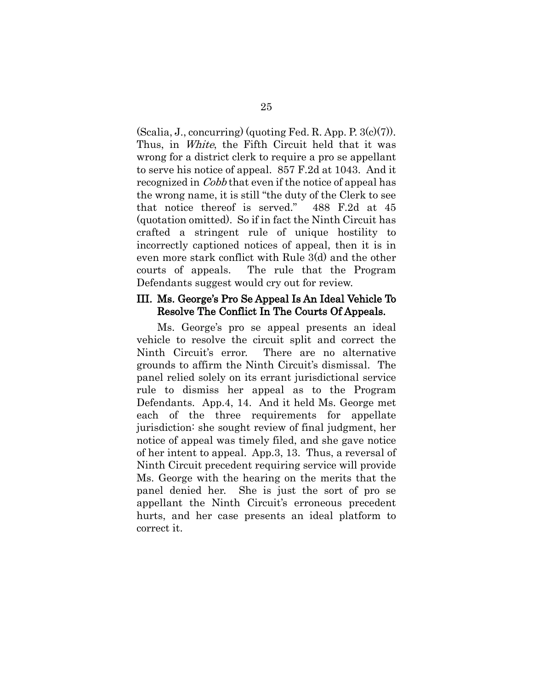<span id="page-34-1"></span><span id="page-34-0"></span> $(Scalia, J., concurring)$  (quoting Fed. R. App. P.  $3(c)(7)$ ). Thus, in *White*, the Fifth Circuit held that it was wrong for a district clerk to require a pro se appellant to serve his notice of appeal. 857 F.2d at 1043. And it recognized in *Cobb* that even if the notice of appeal has the wrong name, it is still "the duty of the Clerk to see that notice thereof is served." 488 F.2d at 45 (quotation omitted). So if in fact the Ninth Circuit has crafted a stringent rule of unique hostility to incorrectly captioned notices of appeal, then it is in even more stark conflict with Rule 3(d) and the other courts of appeals. The rule that the Program Defendants suggest would cry out for review.

#### III. Ms. George's Pro Se Appeal Is An Ideal Vehicle To Resolve The Conflict In The Courts Of Appeals.

Ms. George's pro se appeal presents an ideal vehicle to resolve the circuit split and correct the Ninth Circuit's error. There are no alternative grounds to affirm the Ninth Circuit's dismissal. The panel relied solely on its errant jurisdictional service rule to dismiss her appeal as to the Program Defendants. App.4, 14. And it held Ms. George met each of the three requirements for appellate jurisdiction: she sought review of final judgment, her notice of appeal was timely filed, and she gave notice of her intent to appeal. App.3, 13. Thus, a reversal of Ninth Circuit precedent requiring service will provide Ms. George with the hearing on the merits that the panel denied her. She is just the sort of pro se appellant the Ninth Circuit's erroneous precedent hurts, and her case presents an ideal platform to correct it.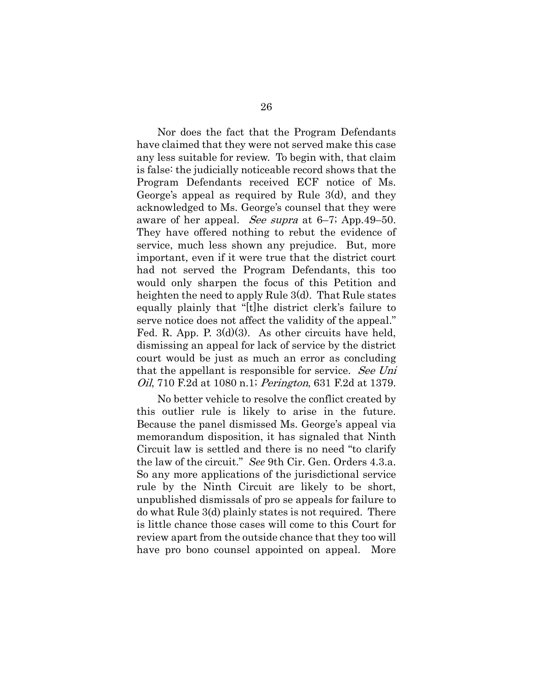Nor does the fact that the Program Defendants have claimed that they were not served make this case any less suitable for review. To begin with, that claim is false: the judicially noticeable record shows that the Program Defendants received ECF notice of Ms. George's appeal as required by Rule 3(d), and they acknowledged to Ms. George's counsel that they were aware of her appeal. See supra at 6–7; App.49–50. They have offered nothing to rebut the evidence of service, much less shown any prejudice. But, more important, even if it were true that the district court had not served the Program Defendants, this too would only sharpen the focus of this Petition and heighten the need to apply Rule 3(d). That Rule states equally plainly that "[t]he district clerk's failure to serve notice does not affect the validity of the appeal." Fed. R. App. P. 3(d)(3). As other circuits have held, dismissing an appeal for lack of service by the district court would be just as much an error as concluding that the appellant is responsible for service. See Uni Oil, 710 F.2d at 1080 n.1; Perington, 631 F.2d at 1379.

<span id="page-35-1"></span><span id="page-35-0"></span>No better vehicle to resolve the conflict created by this outlier rule is likely to arise in the future. Because the panel dismissed Ms. George's appeal via memorandum disposition, it has signaled that Ninth Circuit law is settled and there is no need "to clarify the law of the circuit." *See* 9th Cir. Gen. Orders 4.3.a. So any more applications of the jurisdictional service rule by the Ninth Circuit are likely to be short, unpublished dismissals of pro se appeals for failure to do what Rule 3(d) plainly states is not required. There is little chance those cases will come to this Court for review apart from the outside chance that they too will have pro bono counsel appointed on appeal. More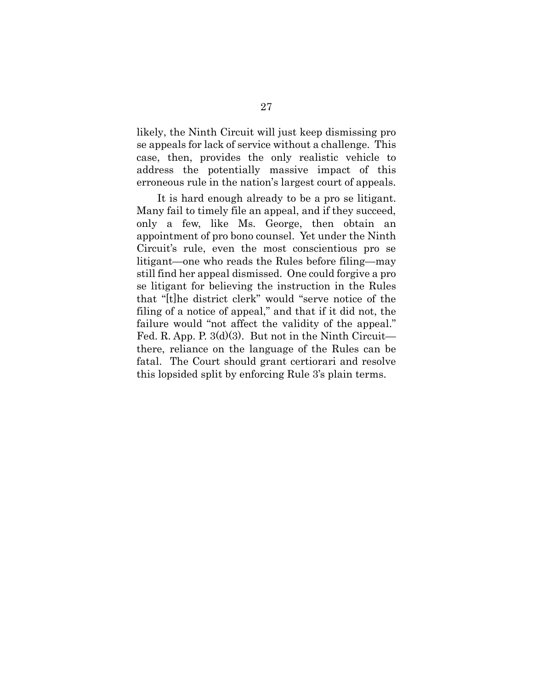likely, the Ninth Circuit will just keep dismissing pro se appeals for lack of service without a challenge. This case, then, provides the only realistic vehicle to address the potentially massive impact of this erroneous rule in the nation's largest court of appeals.

It is hard enough already to be a pro se litigant. Many fail to timely file an appeal, and if they succeed, only a few, like Ms. George, then obtain an appointment of pro bono counsel. Yet under the Ninth Circuit's rule, even the most conscientious pro se litigant—one who reads the Rules before filing—may still find her appeal dismissed. One could forgive a pro se litigant for believing the instruction in the Rules that "[t]he district clerk" would "serve notice of the filing of a notice of appeal," and that if it did not, the failure would "not affect the validity of the appeal." Fed. R. App. P.  $3(d)(3)$ . But not in the Ninth Circuit there, reliance on the language of the Rules can be fatal. The Court should grant certiorari and resolve this lopsided split by enforcing Rule 3's plain terms.